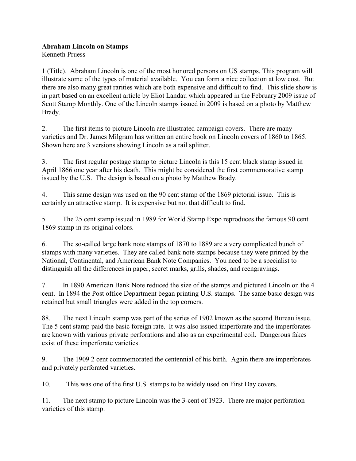## **Abraham Lincoln on Stamps**

Kenneth Pruess

1 (Title). Abraham Lincoln is one of the most honored persons on US stamps. This program will illustrate some of the types of material available. You can form a nice collection at low cost. But there are also many great rarities which are both expensive and difficult to find. This slide show is in part based on an excellent article by Eliot Landau which appeared in the February 2009 issue of Scott Stamp Monthly. One of the Lincoln stamps issued in 2009 is based on a photo by Matthew Brady.

2. The first items to picture Lincoln are illustrated campaign covers. There are many varieties and Dr. James Milgram has written an entire book on Lincoln covers of 1860 to 1865. Shown here are 3 versions showing Lincoln as a rail splitter.

3. The first regular postage stamp to picture Lincoln is this 15 cent black stamp issued in April 1866 one year after his death. This might be considered the first commemorative stamp issued by the U.S. The design is based on a photo by Matthew Brady.

4. This same design was used on the 90 cent stamp of the 1869 pictorial issue. This is certainly an attractive stamp. It is expensive but not that difficult to find.

5. The 25 cent stamp issued in 1989 for World Stamp Expo reproduces the famous 90 cent 1869 stamp in its original colors.

6. The so-called large bank note stamps of 1870 to 1889 are a very complicated bunch of stamps with many varieties. They are called bank note stamps because they were printed by the National, Continental, and American Bank Note Companies. You need to be a specialist to distinguish all the differences in paper, secret marks, grills, shades, and reengravings.

7. In 1890 American Bank Note reduced the size of the stamps and pictured Lincoln on the 4 cent. In 1894 the Post office Department began printing U.S. stamps. The same basic design was retained but small triangles were added in the top corners.

88. The next Lincoln stamp was part of the series of 1902 known as the second Bureau issue. The 5 cent stamp paid the basic foreign rate. It was also issued imperforate and the imperforates are known with various private perforations and also as an experimental coil. Dangerous fakes exist of these imperforate varieties.

9. The 1909 2 cent commemorated the centennial of his birth. Again there are imperforates and privately perforated varieties.

10. This was one of the first U.S. stamps to be widely used on First Day covers.

11. The next stamp to picture Lincoln was the 3-cent of 1923. There are major perforation varieties of this stamp.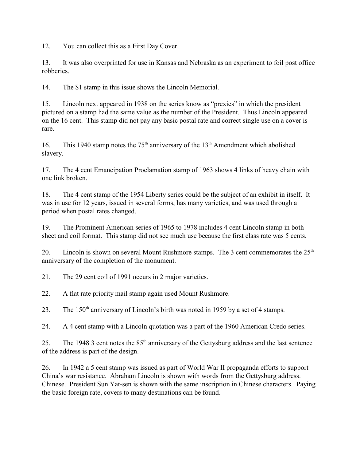12. You can collect this as a First Day Cover.

13. It was also overprinted for use in Kansas and Nebraska as an experiment to foil post office robberies.

14. The \$1 stamp in this issue shows the Lincoln Memorial.

15. Lincoln next appeared in 1938 on the series know as "prexies" in which the president pictured on a stamp had the same value as the number of the President. Thus Lincoln appeared on the 16 cent. This stamp did not pay any basic postal rate and correct single use on a cover is rare.

16. This 1940 stamp notes the  $75<sup>th</sup>$  anniversary of the  $13<sup>th</sup>$  Amendment which abolished slavery.

17. The 4 cent Emancipation Proclamation stamp of 1963 shows 4 links of heavy chain with one link broken.

18. The 4 cent stamp of the 1954 Liberty series could be the subject of an exhibit in itself. It was in use for 12 years, issued in several forms, has many varieties, and was used through a period when postal rates changed.

19. The Prominent American series of 1965 to 1978 includes 4 cent Lincoln stamp in both sheet and coil format. This stamp did not see much use because the first class rate was 5 cents.

20. Lincoln is shown on several Mount Rushmore stamps. The 3 cent commemorates the  $25<sup>th</sup>$ anniversary of the completion of the monument.

21. The 29 cent coil of 1991 occurs in 2 major varieties.

22. A flat rate priority mail stamp again used Mount Rushmore.

23. The  $150<sup>th</sup>$  anniversary of Lincoln's birth was noted in 1959 by a set of 4 stamps.

24. A 4 cent stamp with a Lincoln quotation was a part of the 1960 American Credo series.

25. The 1948 3 cent notes the  $85<sup>th</sup>$  anniversary of the Gettysburg address and the last sentence of the address is part of the design.

26. In 1942 a 5 cent stamp was issued as part of World War II propaganda efforts to support China's war resistance. Abraham Lincoln is shown with words from the Gettysburg address. Chinese. President Sun Yat-sen is shown with the same inscription in Chinese characters. Paying the basic foreign rate, covers to many destinations can be found.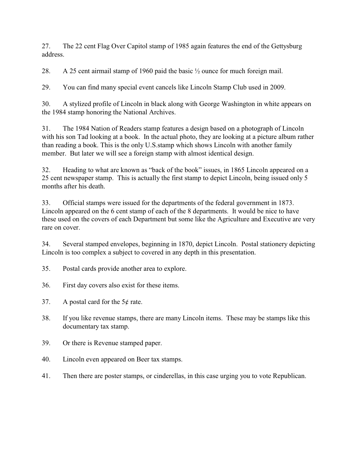27. The 22 cent Flag Over Capitol stamp of 1985 again features the end of the Gettysburg address.

28. A 25 cent airmail stamp of 1960 paid the basic ½ ounce for much foreign mail.

29. You can find many special event cancels like Lincoln Stamp Club used in 2009.

30. A stylized profile of Lincoln in black along with George Washington in white appears on the 1984 stamp honoring the National Archives.

31. The 1984 Nation of Readers stamp features a design based on a photograph of Lincoln with his son Tad looking at a book. In the actual photo, they are looking at a picture album rather than reading a book. This is the only U.S.stamp which shows Lincoln with another family member. But later we will see a foreign stamp with almost identical design.

32. Heading to what are known as "back of the book" issues, in 1865 Lincoln appeared on a 25 cent newspaper stamp. This is actually the first stamp to depict Lincoln, being issued only 5 months after his death.

33. Official stamps were issued for the departments of the federal government in 1873. Lincoln appeared on the 6 cent stamp of each of the 8 departments. It would be nice to have these used on the covers of each Department but some like the Agriculture and Executive are very rare on cover.

34. Several stamped envelopes, beginning in 1870, depict Lincoln. Postal stationery depicting Lincoln is too complex a subject to covered in any depth in this presentation.

- 35. Postal cards provide another area to explore.
- 36. First day covers also exist for these items.
- 37. A postal card for the 5¢ rate.
- 38. If you like revenue stamps, there are many Lincoln items. These may be stamps like this documentary tax stamp.
- 39. Or there is Revenue stamped paper.
- 40. Lincoln even appeared on Beer tax stamps.
- 41. Then there are poster stamps, or cinderellas, in this case urging you to vote Republican.